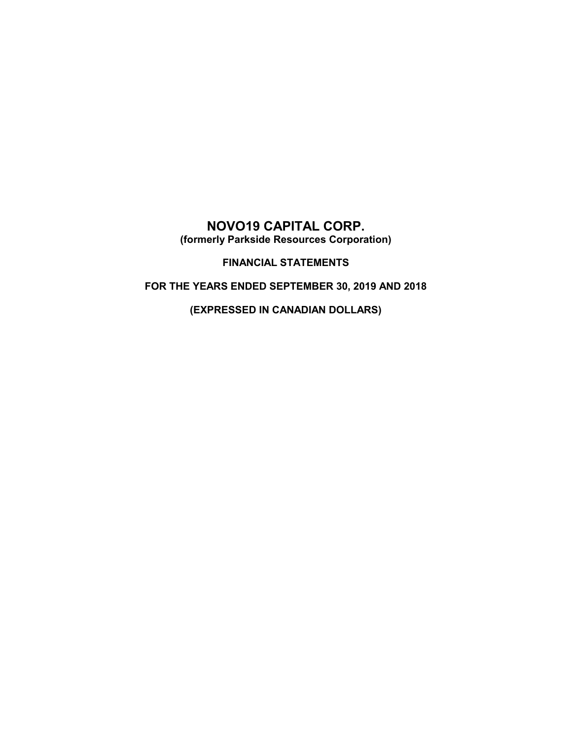# **NOVO19 CAPITAL CORP.**

**(formerly Parkside Resources Corporation)**

# **FINANCIAL STATEMENTS**

# **FOR THE YEARS ENDED SEPTEMBER 30, 2019 AND 2018**

**(EXPRESSED IN CANADIAN DOLLARS)**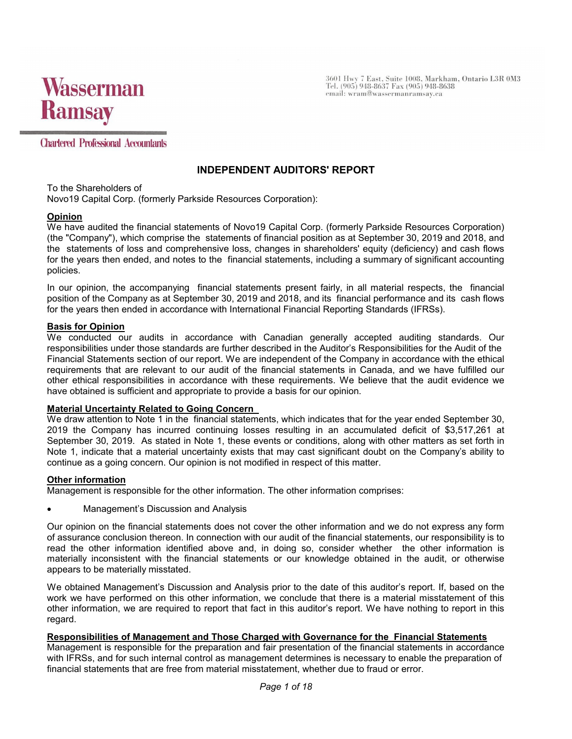

3601 Hwy 7 East, Suite 1008, Markham, Ontario L3R 0M3 Tel. (905) 948-8637 Fax (905) 948-8638 email: wram@wassermanramsay.ca

**Chartered Professional Accountants** 

# **INDEPENDENT AUDITORS' REPORT**

To the Shareholders of Novo19 Capital Corp. (formerly Parkside Resources Corporation):

#### **Opinion**

We have audited the financial statements of Novo19 Capital Corp. (formerly Parkside Resources Corporation) (the "Company"), which comprise the statements of financial position as at September 30, 2019 and 2018, and the statements of loss and comprehensive loss, changes in shareholders' equity (deficiency) and cash flows for the years then ended, and notes to the financial statements, including a summary of significant accounting policies.

In our opinion, the accompanying financial statements present fairly, in all material respects, the financial position of the Company as at September 30, 2019 and 2018, and its financial performance and its cash flows for the years then ended in accordance with International Financial Reporting Standards (IFRSs).

#### **Basis for Opinion**

We conducted our audits in accordance with Canadian generally accepted auditing standards. Our responsibilities under those standards are further described in the Auditor's Responsibilities for the Audit of the Financial Statements section of our report. We are independent of the Company in accordance with the ethical requirements that are relevant to our audit of the financial statements in Canada, and we have fulfilled our other ethical responsibilities in accordance with these requirements. We believe that the audit evidence we have obtained is sufficient and appropriate to provide a basis for our opinion.

#### **Material Uncertainty Related to Going Concern**

We draw attention to Note 1 in the financial statements, which indicates that for the year ended September 30, 2019 the Company has incurred continuing losses resulting in an accumulated deficit of \$3,517,261 at September 30, 2019. As stated in Note 1, these events or conditions, along with other matters as set forth in Note 1, indicate that a material uncertainty exists that may cast significant doubt on the Company's ability to continue as a going concern. Our opinion is not modified in respect of this matter.

#### **Other information**

Management is responsible for the other information. The other information comprises:

Management's Discussion and Analysis

Our opinion on the financial statements does not cover the other information and we do not express any form of assurance conclusion thereon. In connection with our audit of the financial statements, our responsibility is to read the other information identified above and, in doing so, consider whether the other information is materially inconsistent with the financial statements or our knowledge obtained in the audit, or otherwise appears to be materially misstated.

We obtained Management's Discussion and Analysis prior to the date of this auditor's report. If, based on the work we have performed on this other information, we conclude that there is a material misstatement of this other information, we are required to report that fact in this auditor's report. We have nothing to report in this regard.

#### **Responsibilities of Management and Those Charged with Governance for the Financial Statements**

Management is responsible for the preparation and fair presentation of the financial statements in accordance with IFRSs, and for such internal control as management determines is necessary to enable the preparation of financial statements that are free from material misstatement, whether due to fraud or error.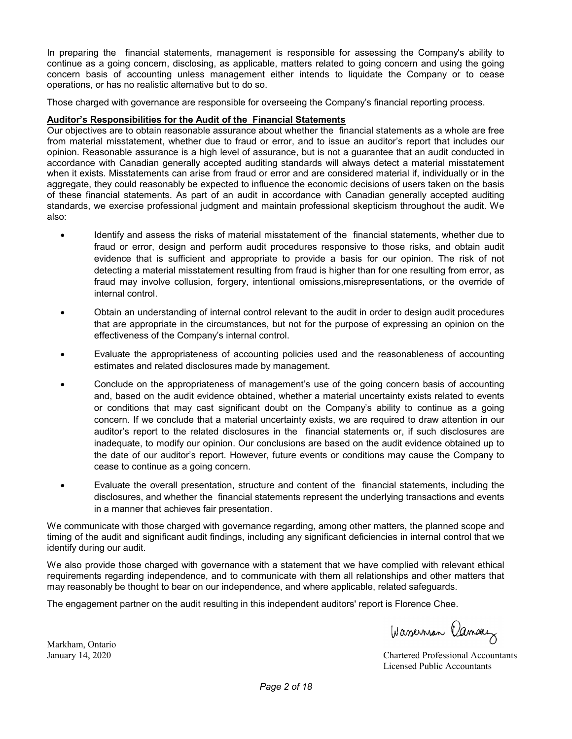In preparing the financial statements, management is responsible for assessing the Company's ability to continue as a going concern, disclosing, as applicable, matters related to going concern and using the going concern basis of accounting unless management either intends to liquidate the Company or to cease operations, or has no realistic alternative but to do so.

Those charged with governance are responsible for overseeing the Company's financial reporting process.

# **Auditor's Responsibilities for the Audit of the Financial Statements**

Our objectives are to obtain reasonable assurance about whether the financial statements as a whole are free from material misstatement, whether due to fraud or error, and to issue an auditor's report that includes our opinion. Reasonable assurance is a high level of assurance, but is not a guarantee that an audit conducted in accordance with Canadian generally accepted auditing standards will always detect a material misstatement when it exists. Misstatements can arise from fraud or error and are considered material if, individually or in the aggregate, they could reasonably be expected to influence the economic decisions of users taken on the basis of these financial statements. As part of an audit in accordance with Canadian generally accepted auditing standards, we exercise professional judgment and maintain professional skepticism throughout the audit. We also:

- Identify and assess the risks of material misstatement of the financial statements, whether due to fraud or error, design and perform audit procedures responsive to those risks, and obtain audit evidence that is sufficient and appropriate to provide a basis for our opinion. The risk of not detecting a material misstatement resulting from fraud is higher than for one resulting from error, as fraud may involve collusion, forgery, intentional omissions,misrepresentations, or the override of internal control.
- Obtain an understanding of internal control relevant to the audit in order to design audit procedures that are appropriate in the circumstances, but not for the purpose of expressing an opinion on the effectiveness of the Company's internal control.
- Evaluate the appropriateness of accounting policies used and the reasonableness of accounting estimates and related disclosures made by management.
- Conclude on the appropriateness of management's use of the going concern basis of accounting and, based on the audit evidence obtained, whether a material uncertainty exists related to events or conditions that may cast significant doubt on the Company's ability to continue as a going concern. If we conclude that a material uncertainty exists, we are required to draw attention in our auditor's report to the related disclosures in the financial statements or, if such disclosures are inadequate, to modify our opinion. Our conclusions are based on the audit evidence obtained up to the date of our auditor's report. However, future events or conditions may cause the Company to cease to continue as a going concern.
- Evaluate the overall presentation, structure and content of the financial statements, including the disclosures, and whether the financial statements represent the underlying transactions and events in a manner that achieves fair presentation.

We communicate with those charged with governance regarding, among other matters, the planned scope and timing of the audit and significant audit findings, including any significant deficiencies in internal control that we identify during our audit.

We also provide those charged with governance with a statement that we have complied with relevant ethical requirements regarding independence, and to communicate with them all relationships and other matters that may reasonably be thought to bear on our independence, and where applicable, related safeguards.

The engagement partner on the audit resulting in this independent auditors' report is Florence Chee.

Waserman Camouz

January 14, 2020 Chartered Professional Accountants Licensed Public Accountants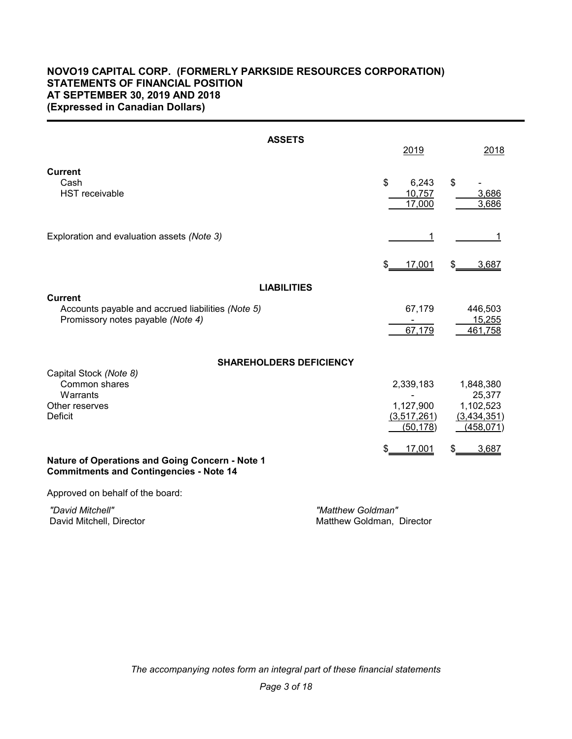# **NOVO19 CAPITAL CORP. (FORMERLY PARKSIDE RESOURCES CORPORATION) STATEMENTS OF FINANCIAL POSITION AT SEPTEMBER 30, 2019 AND 2018 (Expressed in Canadian Dollars)**

| <b>ASSETS</b>                                                                                                                  | 2019                                                 | 2018                                                          |
|--------------------------------------------------------------------------------------------------------------------------------|------------------------------------------------------|---------------------------------------------------------------|
| <b>Current</b><br>Cash<br><b>HST</b> receivable                                                                                | \$<br>6,243<br>10,757<br>17,000                      | \$<br>3,686<br>3,686                                          |
| Exploration and evaluation assets (Note 3)                                                                                     | 1                                                    |                                                               |
|                                                                                                                                | \$<br>17,001                                         | \$<br>3,687                                                   |
| <b>LIABILITIES</b><br><b>Current</b><br>Accounts payable and accrued liabilities (Note 5)<br>Promissory notes payable (Note 4) | 67,179<br>67,179                                     | 446,503<br>15,255<br>461,758                                  |
| <b>SHAREHOLDERS DEFICIENCY</b><br>Capital Stock (Note 8)<br>Common shares<br>Warrants<br>Other reserves<br>Deficit             | 2,339,183<br>1,127,900<br>(3, 517, 261)<br>(50, 178) | 1,848,380<br>25,377<br>1,102,523<br>(3,434,351)<br>(458, 071) |
| Nature of Operations and Going Concern - Note 1<br><b>Commitments and Contingencies - Note 14</b>                              | 17,001                                               | 3,687                                                         |
| Approved on behalf of the board:                                                                                               |                                                      |                                                               |

 *"David Mitchell" "Matthew Goldman"*

Matthew Goldman, Director

*The accompanying notes form an integral part of these financial statements*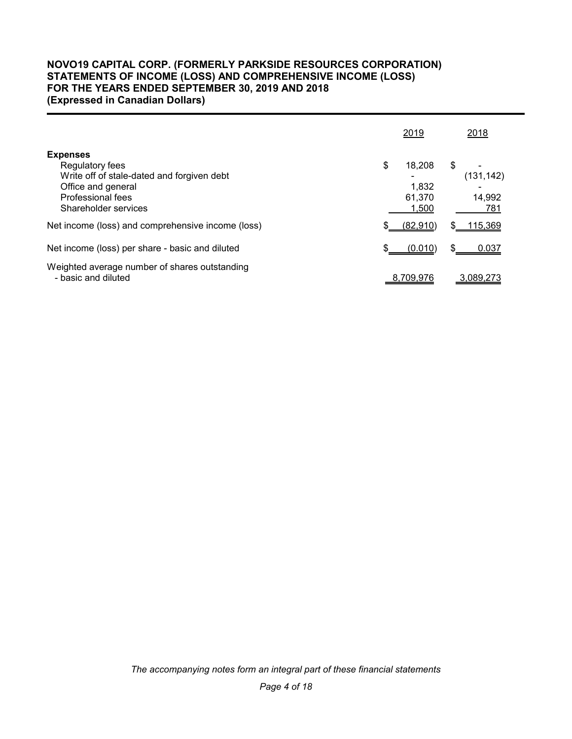# **NOVO19 CAPITAL CORP. (FORMERLY PARKSIDE RESOURCES CORPORATION) STATEMENTS OF INCOME (LOSS) AND COMPREHENSIVE INCOME (LOSS) FOR THE YEARS ENDED SEPTEMBER 30, 2019 AND 2018 (Expressed in Canadian Dollars)**

|                                                                      | 2019           | 2018       |
|----------------------------------------------------------------------|----------------|------------|
| <b>Expenses</b>                                                      |                |            |
| Regulatory fees                                                      | \$<br>18.208   | S          |
| Write off of stale-dated and forgiven debt                           |                | (131, 142) |
| Office and general                                                   | 1.832          |            |
| Professional fees                                                    | 61,370         | 14,992     |
| Shareholder services                                                 | 1,500          | 781        |
| Net income (loss) and comprehensive income (loss)                    | \$<br>(82,910) | 115,369    |
| Net income (loss) per share - basic and diluted                      | \$<br>(0.010)  | 0.037      |
| Weighted average number of shares outstanding<br>- basic and diluted | 8,709,976      | 3,089,273  |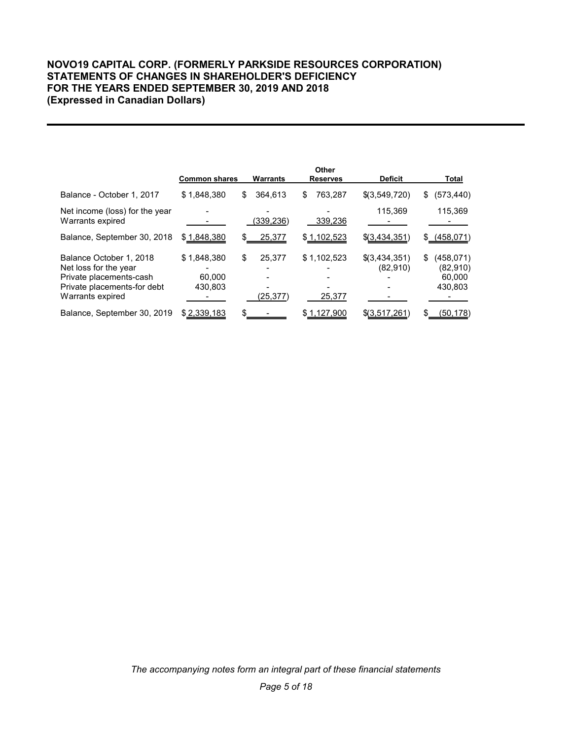# **NOVO19 CAPITAL CORP. (FORMERLY PARKSIDE RESOURCES CORPORATION) STATEMENTS OF CHANGES IN SHAREHOLDER'S DEFICIENCY FOR THE YEARS ENDED SEPTEMBER 30, 2019 AND 2018 (Expressed in Canadian Dollars)**

|                                                                                                                                | <b>Common shares</b>             | Warrants                 | Other<br><b>Reserves</b> | <b>Deficit</b>               | Total                                              |
|--------------------------------------------------------------------------------------------------------------------------------|----------------------------------|--------------------------|--------------------------|------------------------------|----------------------------------------------------|
| Balance - October 1, 2017                                                                                                      | \$1,848,380                      | 364,613<br>\$            | 763,287<br>\$            | \$(3,549,720)                | (573, 440)<br>\$                                   |
| Net income (loss) for the year<br>Warrants expired                                                                             |                                  | (339, 236)               | 339,236                  | 115.369                      | 115.369                                            |
| Balance, September 30, 2018                                                                                                    | \$1,848,380                      | 25,377                   | \$1,102,523              | \$(3,434,351)                | (458, 071)<br>\$                                   |
| Balance October 1, 2018<br>Net loss for the year<br>Private placements-cash<br>Private placements-for debt<br>Warrants expired | \$1.848.380<br>60.000<br>430,803 | \$<br>25.377<br>(25,377) | \$1,102,523<br>25,377    | $$$ (3,434,351)<br>(82, 910) | (458, 071)<br>\$<br>(82, 910)<br>60.000<br>430,803 |
| Balance, September 30, 2019                                                                                                    | \$2,339,183                      |                          | 127.900                  | \$13,517,261                 | (50,178)                                           |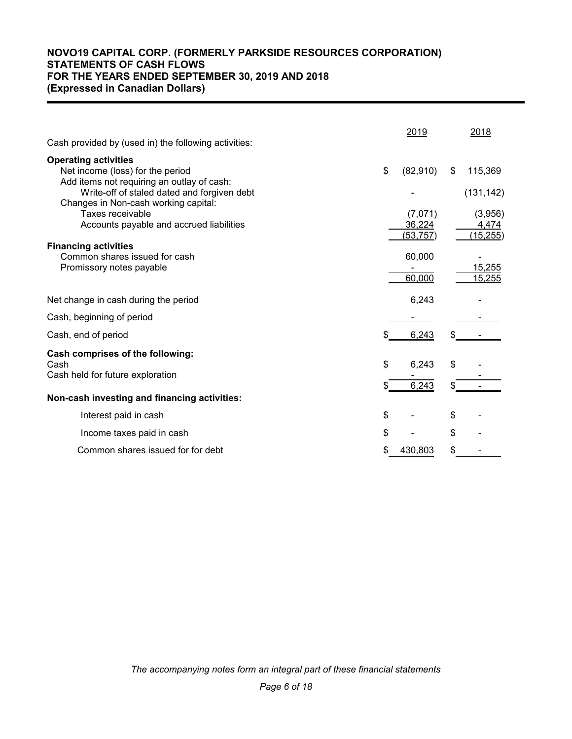|                                                                                                               | 2019                          | 2018                          |
|---------------------------------------------------------------------------------------------------------------|-------------------------------|-------------------------------|
| Cash provided by (used in) the following activities:                                                          |                               |                               |
| <b>Operating activities</b><br>Net income (loss) for the period<br>Add items not requiring an outlay of cash: | \$<br>(82, 910)               | \$<br>115,369                 |
| Write-off of staled dated and forgiven debt<br>Changes in Non-cash working capital:                           |                               | (131, 142)                    |
| Taxes receivable<br>Accounts payable and accrued liabilities                                                  | (7,071)<br>36,224<br>(53,757) | (3,956)<br>4,474<br>(15, 255) |
| <b>Financing activities</b>                                                                                   |                               |                               |
| Common shares issued for cash<br>Promissory notes payable                                                     | 60,000<br>60,000              | 15,255<br>15,255              |
| Net change in cash during the period                                                                          | 6,243                         |                               |
| Cash, beginning of period                                                                                     |                               |                               |
| Cash, end of period                                                                                           | 6,243                         |                               |
| Cash comprises of the following:<br>Cash                                                                      | \$<br>6,243                   | \$                            |
| Cash held for future exploration                                                                              | 6,243                         |                               |
| Non-cash investing and financing activities:                                                                  |                               |                               |
| Interest paid in cash                                                                                         | \$                            | \$                            |
| Income taxes paid in cash                                                                                     | \$                            | \$                            |
| Common shares issued for for debt                                                                             | 430,803                       |                               |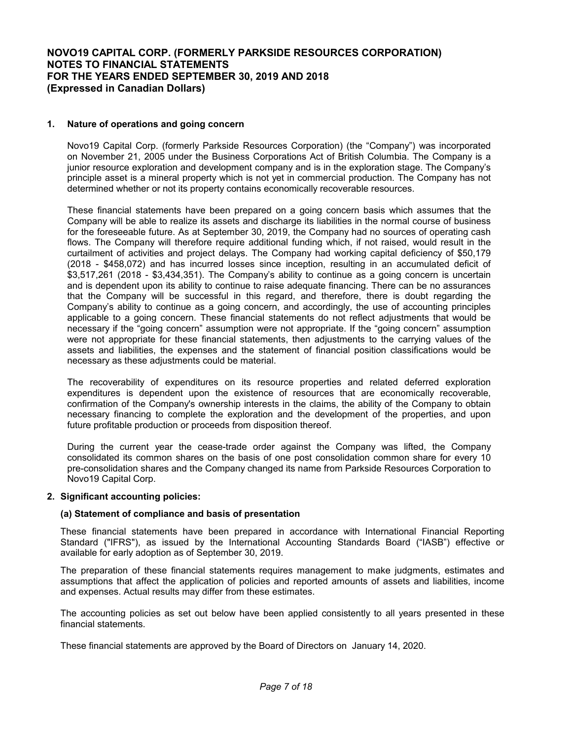#### **1. Nature of operations and going concern**

Novo19 Capital Corp. (formerly Parkside Resources Corporation) (the "Company") was incorporated on November 21, 2005 under the Business Corporations Act of British Columbia. The Company is a junior resource exploration and development company and is in the exploration stage. The Company's principle asset is a mineral property which is not yet in commercial production. The Company has not determined whether or not its property contains economically recoverable resources.

These financial statements have been prepared on a going concern basis which assumes that the Company will be able to realize its assets and discharge its liabilities in the normal course of business for the foreseeable future. As at September 30, 2019, the Company had no sources of operating cash flows. The Company will therefore require additional funding which, if not raised, would result in the curtailment of activities and project delays. The Company had working capital deficiency of \$50,179 (2018 - \$458,072) and has incurred losses since inception, resulting in an accumulated deficit of \$3,517,261 (2018 - \$3,434,351). The Company's ability to continue as a going concern is uncertain and is dependent upon its ability to continue to raise adequate financing. There can be no assurances that the Company will be successful in this regard, and therefore, there is doubt regarding the Company's ability to continue as a going concern, and accordingly, the use of accounting principles applicable to a going concern. These financial statements do not reflect adjustments that would be necessary if the "going concern" assumption were not appropriate. If the "going concern" assumption were not appropriate for these financial statements, then adjustments to the carrying values of the assets and liabilities, the expenses and the statement of financial position classifications would be necessary as these adjustments could be material.

The recoverability of expenditures on its resource properties and related deferred exploration expenditures is dependent upon the existence of resources that are economically recoverable, confirmation of the Company's ownership interests in the claims, the ability of the Company to obtain necessary financing to complete the exploration and the development of the properties, and upon future profitable production or proceeds from disposition thereof.

During the current year the cease-trade order against the Company was lifted, the Company consolidated its common shares on the basis of one post consolidation common share for every 10 pre-consolidation shares and the Company changed its name from Parkside Resources Corporation to Novo19 Capital Corp.

#### **2. Significant accounting policies:**

#### **(a) Statement of compliance and basis of presentation**

These financial statements have been prepared in accordance with International Financial Reporting Standard ("IFRS"), as issued by the International Accounting Standards Board ("IASB") effective or available for early adoption as of September 30, 2019.

The preparation of these financial statements requires management to make judgments, estimates and assumptions that affect the application of policies and reported amounts of assets and liabilities, income and expenses. Actual results may differ from these estimates.

The accounting policies as set out below have been applied consistently to all years presented in these financial statements.

These financial statements are approved by the Board of Directors on January 14, 2020.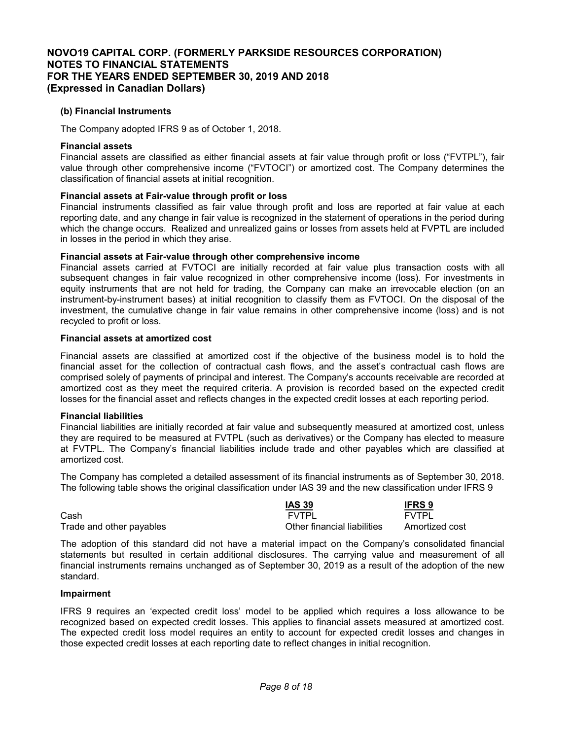# **(b) Financial Instruments**

The Company adopted IFRS 9 as of October 1, 2018.

#### **Financial assets**

Financial assets are classified as either financial assets at fair value through profit or loss ("FVTPL"), fair value through other comprehensive income ("FVTOCI") or amortized cost. The Company determines the classification of financial assets at initial recognition.

# **Financial assets at Fair-value through profit or loss**

Financial instruments classified as fair value through profit and loss are reported at fair value at each reporting date, and any change in fair value is recognized in the statement of operations in the period during which the change occurs. Realized and unrealized gains or losses from assets held at FVPTL are included in losses in the period in which they arise.

# **Financial assets at Fair-value through other comprehensive income**

Financial assets carried at FVTOCI are initially recorded at fair value plus transaction costs with all subsequent changes in fair value recognized in other comprehensive income (loss). For investments in equity instruments that are not held for trading, the Company can make an irrevocable election (on an instrument-by-instrument bases) at initial recognition to classify them as FVTOCI. On the disposal of the investment, the cumulative change in fair value remains in other comprehensive income (loss) and is not recycled to profit or loss.

#### **Financial assets at amortized cost**

Financial assets are classified at amortized cost if the objective of the business model is to hold the financial asset for the collection of contractual cash flows, and the asset's contractual cash flows are comprised solely of payments of principal and interest. The Company's accounts receivable are recorded at amortized cost as they meet the required criteria. A provision is recorded based on the expected credit losses for the financial asset and reflects changes in the expected credit losses at each reporting period.

#### **Financial liabilities**

Financial liabilities are initially recorded at fair value and subsequently measured at amortized cost, unless they are required to be measured at FVTPL (such as derivatives) or the Company has elected to measure at FVTPL. The Company's financial liabilities include trade and other payables which are classified at amortized cost.

The Company has completed a detailed assessment of its financial instruments as of September 30, 2018. The following table shows the original classification under IAS 39 and the new classification under IFRS 9

|                          | <b>IAS 39</b>               | <b>IFRS 9</b>  |
|--------------------------|-----------------------------|----------------|
| Cash                     | <b>FVTPI</b>                | FVTPI          |
| Trade and other payables | Other financial liabilities | Amortized cost |

The adoption of this standard did not have a material impact on the Company's consolidated financial statements but resulted in certain additional disclosures. The carrying value and measurement of all financial instruments remains unchanged as of September 30, 2019 as a result of the adoption of the new standard.

#### **Impairment**

IFRS 9 requires an 'expected credit loss' model to be applied which requires a loss allowance to be recognized based on expected credit losses. This applies to financial assets measured at amortized cost. The expected credit loss model requires an entity to account for expected credit losses and changes in those expected credit losses at each reporting date to reflect changes in initial recognition.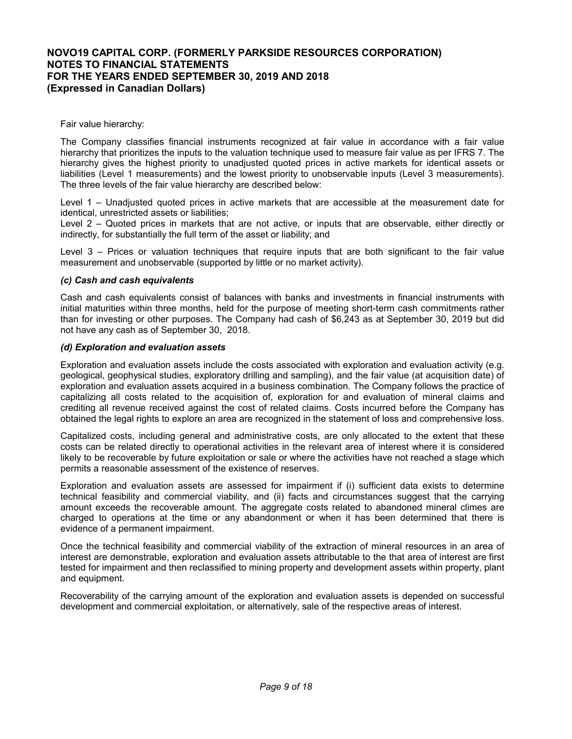#### Fair value hierarchy:

The Company classifies financial instruments recognized at fair value in accordance with a fair value hierarchy that prioritizes the inputs to the valuation technique used to measure fair value as per IFRS 7. The hierarchy gives the highest priority to unadjusted quoted prices in active markets for identical assets or liabilities (Level 1 measurements) and the lowest priority to unobservable inputs (Level 3 measurements). The three levels of the fair value hierarchy are described below:

Level 1 – Unadjusted quoted prices in active markets that are accessible at the measurement date for identical, unrestricted assets or liabilities;

Level 2 – Quoted prices in markets that are not active, or inputs that are observable, either directly or indirectly, for substantially the full term of the asset or liability; and

Level 3 – Prices or valuation techniques that require inputs that are both significant to the fair value measurement and unobservable (supported by little or no market activity).

# *(c) Cash and cash equivalents*

Cash and cash equivalents consist of balances with banks and investments in financial instruments with initial maturities within three months, held for the purpose of meeting short-term cash commitments rather than for investing or other purposes. The Company had cash of \$6,243 as at September 30, 2019 but did not have any cash as of September 30, 2018.

# *(d) Exploration and evaluation assets*

Exploration and evaluation assets include the costs associated with exploration and evaluation activity (e.g. geological, geophysical studies, exploratory drilling and sampling), and the fair value (at acquisition date) of exploration and evaluation assets acquired in a business combination. The Company follows the practice of capitalizing all costs related to the acquisition of, exploration for and evaluation of mineral claims and crediting all revenue received against the cost of related claims. Costs incurred before the Company has obtained the legal rights to explore an area are recognized in the statement of loss and comprehensive loss.

Capitalized costs, including general and administrative costs, are only allocated to the extent that these costs can be related directly to operational activities in the relevant area of interest where it is considered likely to be recoverable by future exploitation or sale or where the activities have not reached a stage which permits a reasonable assessment of the existence of reserves.

Exploration and evaluation assets are assessed for impairment if (i) sufficient data exists to determine technical feasibility and commercial viability, and (ii) facts and circumstances suggest that the carrying amount exceeds the recoverable amount. The aggregate costs related to abandoned mineral climes are charged to operations at the time or any abandonment or when it has been determined that there is evidence of a permanent impairment.

Once the technical feasibility and commercial viability of the extraction of mineral resources in an area of interest are demonstrable, exploration and evaluation assets attributable to the that area of interest are first tested for impairment and then reclassified to mining property and development assets within property, plant and equipment.

Recoverability of the carrying amount of the exploration and evaluation assets is depended on successful development and commercial exploitation, or alternatively, sale of the respective areas of interest.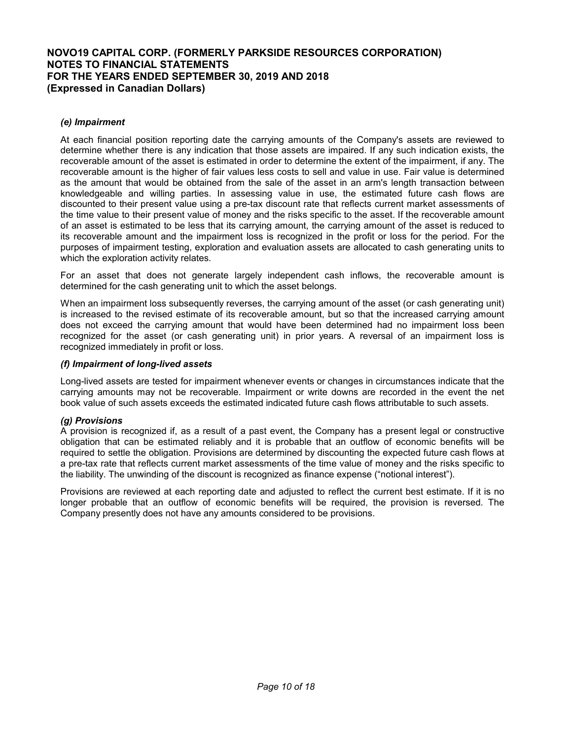# *(e) Impairment*

At each financial position reporting date the carrying amounts of the Company's assets are reviewed to determine whether there is any indication that those assets are impaired. If any such indication exists, the recoverable amount of the asset is estimated in order to determine the extent of the impairment, if any. The recoverable amount is the higher of fair values less costs to sell and value in use. Fair value is determined as the amount that would be obtained from the sale of the asset in an arm's length transaction between knowledgeable and willing parties. In assessing value in use, the estimated future cash flows are discounted to their present value using a pre-tax discount rate that reflects current market assessments of the time value to their present value of money and the risks specific to the asset. If the recoverable amount of an asset is estimated to be less that its carrying amount, the carrying amount of the asset is reduced to its recoverable amount and the impairment loss is recognized in the profit or loss for the period. For the purposes of impairment testing, exploration and evaluation assets are allocated to cash generating units to which the exploration activity relates.

For an asset that does not generate largely independent cash inflows, the recoverable amount is determined for the cash generating unit to which the asset belongs.

When an impairment loss subsequently reverses, the carrying amount of the asset (or cash generating unit) is increased to the revised estimate of its recoverable amount, but so that the increased carrying amount does not exceed the carrying amount that would have been determined had no impairment loss been recognized for the asset (or cash generating unit) in prior years. A reversal of an impairment loss is recognized immediately in profit or loss.

#### *(f) Impairment of long-lived assets*

Long-lived assets are tested for impairment whenever events or changes in circumstances indicate that the carrying amounts may not be recoverable. Impairment or write downs are recorded in the event the net book value of such assets exceeds the estimated indicated future cash flows attributable to such assets.

#### *(g) Provisions*

A provision is recognized if, as a result of a past event, the Company has a present legal or constructive obligation that can be estimated reliably and it is probable that an outflow of economic benefits will be required to settle the obligation. Provisions are determined by discounting the expected future cash flows at a pre-tax rate that reflects current market assessments of the time value of money and the risks specific to the liability. The unwinding of the discount is recognized as finance expense ("notional interest").

Provisions are reviewed at each reporting date and adjusted to reflect the current best estimate. If it is no longer probable that an outflow of economic benefits will be required, the provision is reversed. The Company presently does not have any amounts considered to be provisions.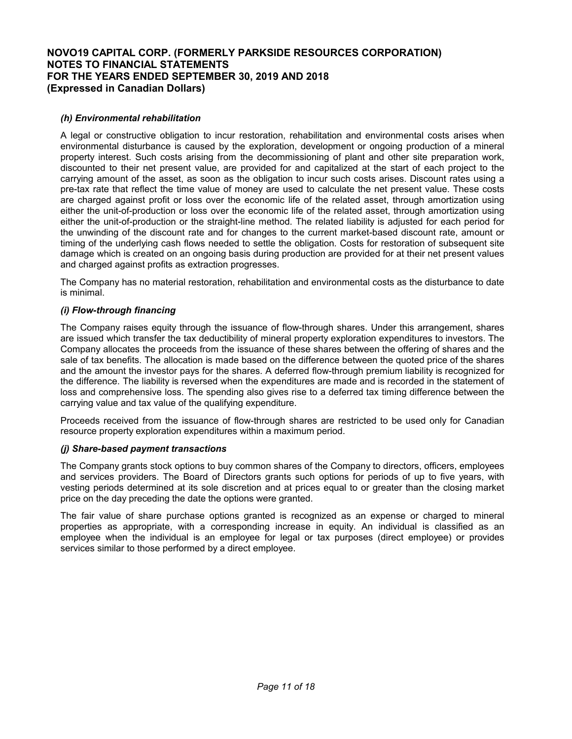# *(h) Environmental rehabilitation*

A legal or constructive obligation to incur restoration, rehabilitation and environmental costs arises when environmental disturbance is caused by the exploration, development or ongoing production of a mineral property interest. Such costs arising from the decommissioning of plant and other site preparation work, discounted to their net present value, are provided for and capitalized at the start of each project to the carrying amount of the asset, as soon as the obligation to incur such costs arises. Discount rates using a pre-tax rate that reflect the time value of money are used to calculate the net present value. These costs are charged against profit or loss over the economic life of the related asset, through amortization using either the unit-of-production or loss over the economic life of the related asset, through amortization using either the unit-of-production or the straight-line method. The related liability is adjusted for each period for the unwinding of the discount rate and for changes to the current market-based discount rate, amount or timing of the underlying cash flows needed to settle the obligation. Costs for restoration of subsequent site damage which is created on an ongoing basis during production are provided for at their net present values and charged against profits as extraction progresses.

The Company has no material restoration, rehabilitation and environmental costs as the disturbance to date is minimal.

# *(i) Flow-through financing*

The Company raises equity through the issuance of flow-through shares. Under this arrangement, shares are issued which transfer the tax deductibility of mineral property exploration expenditures to investors. The Company allocates the proceeds from the issuance of these shares between the offering of shares and the sale of tax benefits. The allocation is made based on the difference between the quoted price of the shares and the amount the investor pays for the shares. A deferred flow-through premium liability is recognized for the difference. The liability is reversed when the expenditures are made and is recorded in the statement of loss and comprehensive loss. The spending also gives rise to a deferred tax timing difference between the carrying value and tax value of the qualifying expenditure.

Proceeds received from the issuance of flow-through shares are restricted to be used only for Canadian resource property exploration expenditures within a maximum period.

# *(j) Share-based payment transactions*

The Company grants stock options to buy common shares of the Company to directors, officers, employees and services providers. The Board of Directors grants such options for periods of up to five years, with vesting periods determined at its sole discretion and at prices equal to or greater than the closing market price on the day preceding the date the options were granted.

The fair value of share purchase options granted is recognized as an expense or charged to mineral properties as appropriate, with a corresponding increase in equity. An individual is classified as an employee when the individual is an employee for legal or tax purposes (direct employee) or provides services similar to those performed by a direct employee.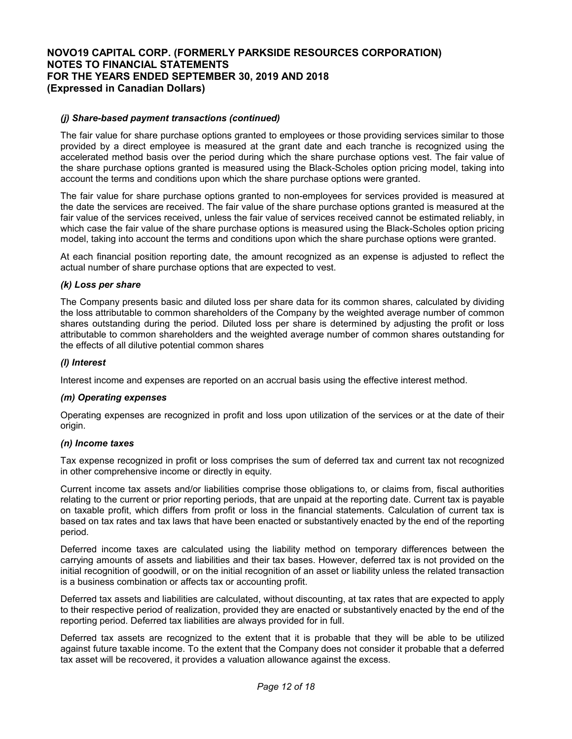# *(j) Share-based payment transactions (continued)*

The fair value for share purchase options granted to employees or those providing services similar to those provided by a direct employee is measured at the grant date and each tranche is recognized using the accelerated method basis over the period during which the share purchase options vest. The fair value of the share purchase options granted is measured using the Black-Scholes option pricing model, taking into account the terms and conditions upon which the share purchase options were granted.

The fair value for share purchase options granted to non-employees for services provided is measured at the date the services are received. The fair value of the share purchase options granted is measured at the fair value of the services received, unless the fair value of services received cannot be estimated reliably, in which case the fair value of the share purchase options is measured using the Black-Scholes option pricing model, taking into account the terms and conditions upon which the share purchase options were granted.

At each financial position reporting date, the amount recognized as an expense is adjusted to reflect the actual number of share purchase options that are expected to vest.

#### *(k) Loss per share*

The Company presents basic and diluted loss per share data for its common shares, calculated by dividing the loss attributable to common shareholders of the Company by the weighted average number of common shares outstanding during the period. Diluted loss per share is determined by adjusting the profit or loss attributable to common shareholders and the weighted average number of common shares outstanding for the effects of all dilutive potential common shares

# *(l) Interest*

Interest income and expenses are reported on an accrual basis using the effective interest method.

#### *(m) Operating expenses*

Operating expenses are recognized in profit and loss upon utilization of the services or at the date of their origin.

#### *(n) Income taxes*

Tax expense recognized in profit or loss comprises the sum of deferred tax and current tax not recognized in other comprehensive income or directly in equity.

Current income tax assets and/or liabilities comprise those obligations to, or claims from, fiscal authorities relating to the current or prior reporting periods, that are unpaid at the reporting date. Current tax is payable on taxable profit, which differs from profit or loss in the financial statements. Calculation of current tax is based on tax rates and tax laws that have been enacted or substantively enacted by the end of the reporting period.

Deferred income taxes are calculated using the liability method on temporary differences between the carrying amounts of assets and liabilities and their tax bases. However, deferred tax is not provided on the initial recognition of goodwill, or on the initial recognition of an asset or liability unless the related transaction is a business combination or affects tax or accounting profit.

Deferred tax assets and liabilities are calculated, without discounting, at tax rates that are expected to apply to their respective period of realization, provided they are enacted or substantively enacted by the end of the reporting period. Deferred tax liabilities are always provided for in full.

Deferred tax assets are recognized to the extent that it is probable that they will be able to be utilized against future taxable income. To the extent that the Company does not consider it probable that a deferred tax asset will be recovered, it provides a valuation allowance against the excess.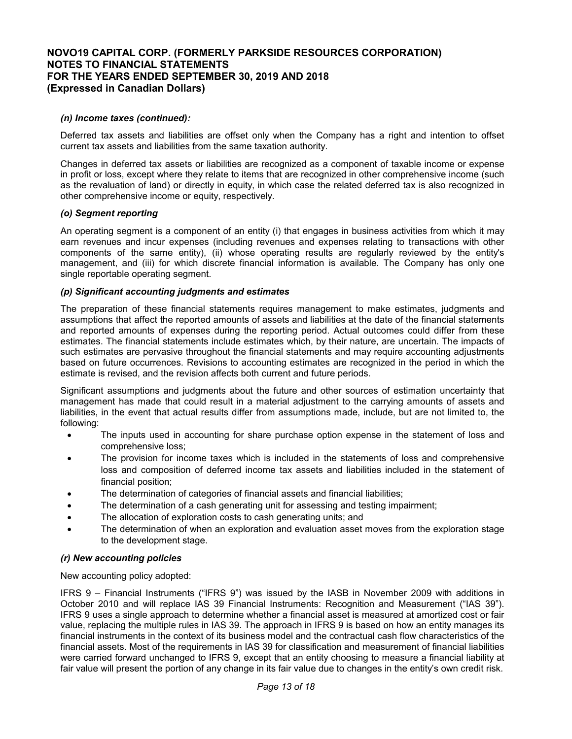# *(n) Income taxes (continued):*

Deferred tax assets and liabilities are offset only when the Company has a right and intention to offset current tax assets and liabilities from the same taxation authority.

Changes in deferred tax assets or liabilities are recognized as a component of taxable income or expense in profit or loss, except where they relate to items that are recognized in other comprehensive income (such as the revaluation of land) or directly in equity, in which case the related deferred tax is also recognized in other comprehensive income or equity, respectively.

# *(o) Segment reporting*

An operating segment is a component of an entity (i) that engages in business activities from which it may earn revenues and incur expenses (including revenues and expenses relating to transactions with other components of the same entity), (ii) whose operating results are regularly reviewed by the entity's management, and (iii) for which discrete financial information is available. The Company has only one single reportable operating segment.

# *(p) Significant accounting judgments and estimates*

The preparation of these financial statements requires management to make estimates, judgments and assumptions that affect the reported amounts of assets and liabilities at the date of the financial statements and reported amounts of expenses during the reporting period. Actual outcomes could differ from these estimates. The financial statements include estimates which, by their nature, are uncertain. The impacts of such estimates are pervasive throughout the financial statements and may require accounting adjustments based on future occurrences. Revisions to accounting estimates are recognized in the period in which the estimate is revised, and the revision affects both current and future periods.

Significant assumptions and judgments about the future and other sources of estimation uncertainty that management has made that could result in a material adjustment to the carrying amounts of assets and liabilities, in the event that actual results differ from assumptions made, include, but are not limited to, the following:

- The inputs used in accounting for share purchase option expense in the statement of loss and comprehensive loss;
- The provision for income taxes which is included in the statements of loss and comprehensive loss and composition of deferred income tax assets and liabilities included in the statement of financial position;
- The determination of categories of financial assets and financial liabilities;
- The determination of a cash generating unit for assessing and testing impairment;
- The allocation of exploration costs to cash generating units; and
- The determination of when an exploration and evaluation asset moves from the exploration stage to the development stage.

#### *(r) New accounting policies*

New accounting policy adopted:

IFRS 9 – Financial Instruments ("IFRS 9") was issued by the IASB in November 2009 with additions in October 2010 and will replace IAS 39 Financial Instruments: Recognition and Measurement ("IAS 39"). IFRS 9 uses a single approach to determine whether a financial asset is measured at amortized cost or fair value, replacing the multiple rules in IAS 39. The approach in IFRS 9 is based on how an entity manages its financial instruments in the context of its business model and the contractual cash flow characteristics of the financial assets. Most of the requirements in IAS 39 for classification and measurement of financial liabilities were carried forward unchanged to IFRS 9, except that an entity choosing to measure a financial liability at fair value will present the portion of any change in its fair value due to changes in the entity's own credit risk.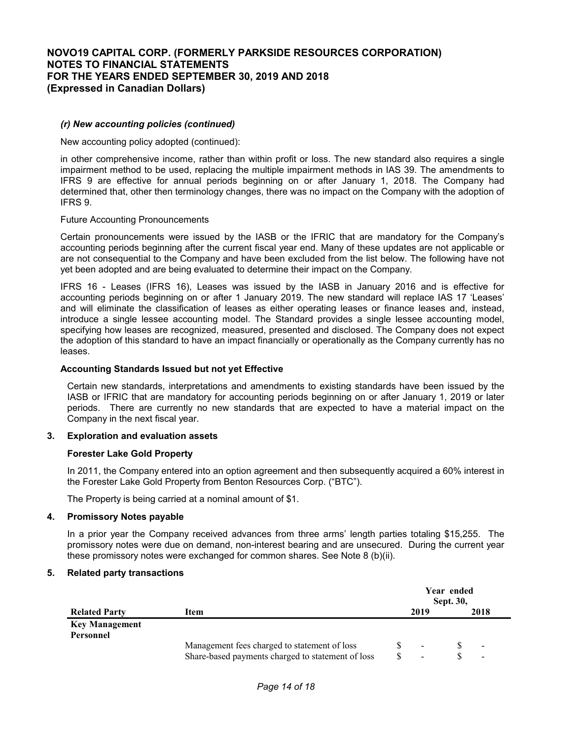# *(r) New accounting policies (continued)*

#### New accounting policy adopted (continued):

in other comprehensive income, rather than within profit or loss. The new standard also requires a single impairment method to be used, replacing the multiple impairment methods in IAS 39. The amendments to IFRS 9 are effective for annual periods beginning on or after January 1, 2018. The Company had determined that, other then terminology changes, there was no impact on the Company with the adoption of IFRS 9.

#### Future Accounting Pronouncements

Certain pronouncements were issued by the IASB or the IFRIC that are mandatory for the Company's accounting periods beginning after the current fiscal year end. Many of these updates are not applicable or are not consequential to the Company and have been excluded from the list below. The following have not yet been adopted and are being evaluated to determine their impact on the Company.

IFRS 16 - Leases (IFRS 16), Leases was issued by the IASB in January 2016 and is effective for accounting periods beginning on or after 1 January 2019. The new standard will replace IAS 17 'Leases' and will eliminate the classification of leases as either operating leases or finance leases and, instead, introduce a single lessee accounting model. The Standard provides a single lessee accounting model, specifying how leases are recognized, measured, presented and disclosed. The Company does not expect the adoption of this standard to have an impact financially or operationally as the Company currently has no leases.

#### **Accounting Standards Issued but not yet Effective**

Certain new standards, interpretations and amendments to existing standards have been issued by the IASB or IFRIC that are mandatory for accounting periods beginning on or after January 1, 2019 or later periods. There are currently no new standards that are expected to have a material impact on the Company in the next fiscal year.

#### **3. Exploration and evaluation assets**

#### **Forester Lake Gold Property**

In 2011, the Company entered into an option agreement and then subsequently acquired a 60% interest in the Forester Lake Gold Property from Benton Resources Corp. ("BTC").

The Property is being carried at a nominal amount of \$1.

#### **4. Promissory Notes payable**

In a prior year the Company received advances from three arms' length parties totaling \$15,255. The promissory notes were due on demand, non-interest bearing and are unsecured. During the current year these promissory notes were exchanged for common shares. See Note 8 (b)(ii).

#### **5. Related party transactions**

|                                    |                                                   |      | Year ended<br>Sept. 30, |                          |
|------------------------------------|---------------------------------------------------|------|-------------------------|--------------------------|
| <b>Related Party</b>               | Item                                              | 2019 |                         | 2018                     |
| <b>Key Management</b><br>Personnel |                                                   |      |                         |                          |
|                                    | Management fees charged to statement of loss      |      |                         | $\overline{\phantom{a}}$ |
|                                    | Share-based payments charged to statement of loss | -    |                         | $\overline{\phantom{a}}$ |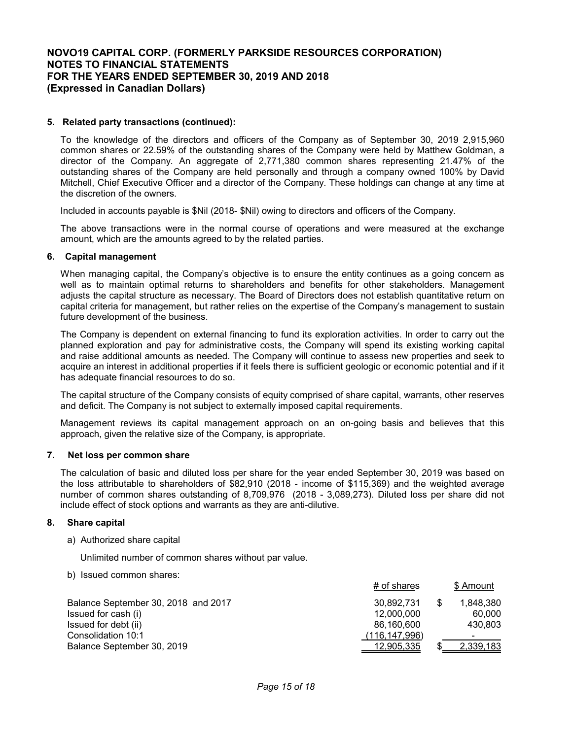### **5. Related party transactions (continued):**

To the knowledge of the directors and officers of the Company as of September 30, 2019 2,915,960 common shares or 22.59% of the outstanding shares of the Company were held by Matthew Goldman, a director of the Company. An aggregate of 2,771,380 common shares representing 21.47% of the outstanding shares of the Company are held personally and through a company owned 100% by David Mitchell, Chief Executive Officer and a director of the Company. These holdings can change at any time at the discretion of the owners.

Included in accounts payable is \$Nil (2018- \$Nil) owing to directors and officers of the Company.

The above transactions were in the normal course of operations and were measured at the exchange amount, which are the amounts agreed to by the related parties.

#### **6. Capital management**

When managing capital, the Company's objective is to ensure the entity continues as a going concern as well as to maintain optimal returns to shareholders and benefits for other stakeholders. Management adjusts the capital structure as necessary. The Board of Directors does not establish quantitative return on capital criteria for management, but rather relies on the expertise of the Company's management to sustain future development of the business.

The Company is dependent on external financing to fund its exploration activities. In order to carry out the planned exploration and pay for administrative costs, the Company will spend its existing working capital and raise additional amounts as needed. The Company will continue to assess new properties and seek to acquire an interest in additional properties if it feels there is sufficient geologic or economic potential and if it has adequate financial resources to do so.

The capital structure of the Company consists of equity comprised of share capital, warrants, other reserves and deficit. The Company is not subject to externally imposed capital requirements.

Management reviews its capital management approach on an on-going basis and believes that this approach, given the relative size of the Company, is appropriate.

#### **7. Net loss per common share**

The calculation of basic and diluted loss per share for the year ended September 30, 2019 was based on the loss attributable to shareholders of \$82,910 (2018 - income of \$115,369) and the weighted average number of common shares outstanding of 8,709,976 (2018 - 3,089,273). Diluted loss per share did not include effect of stock options and warrants as they are anti-dilutive.

#### **8. Share capital**

a) Authorized share capital

Unlimited number of common shares without par value.

b) Issued common shares:

|                                     | $#$ of shares   | \$ Amount       |
|-------------------------------------|-----------------|-----------------|
| Balance September 30, 2018 and 2017 | 30,892,731      | \$<br>1.848.380 |
| Issued for cash (i)                 | 12.000.000      | 60,000          |
| Issued for debt (ii)                | 86,160,600      | 430,803         |
| Consolidation 10:1                  | (116, 147, 996) |                 |
| Balance September 30, 2019          | 12,905,335      | 2,339,183       |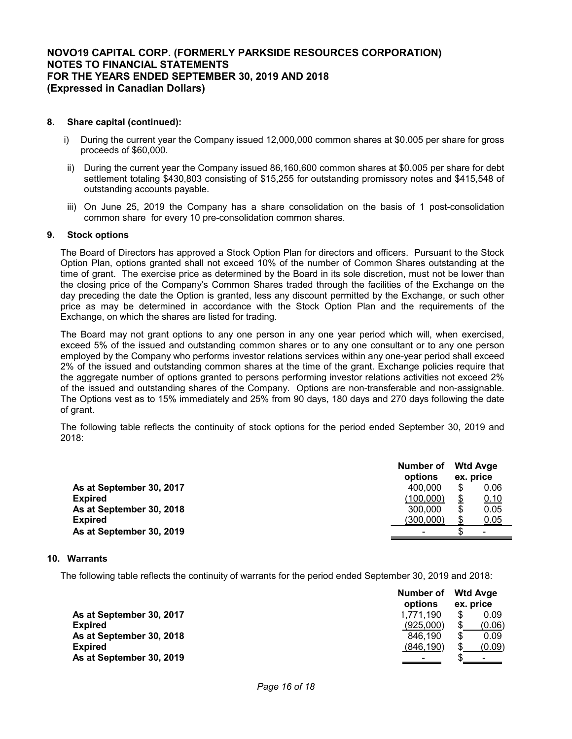# **8. Share capital (continued):**

- i) During the current year the Company issued 12,000,000 common shares at \$0.005 per share for gross proceeds of \$60,000.
- ii) During the current year the Company issued 86,160,600 common shares at \$0.005 per share for debt settlement totaling \$430,803 consisting of \$15,255 for outstanding promissory notes and \$415,548 of outstanding accounts payable.
- iii) On June 25, 2019 the Company has a share consolidation on the basis of 1 post-consolidation common share for every 10 pre-consolidation common shares.

# **9. Stock options**

The Board of Directors has approved a Stock Option Plan for directors and officers. Pursuant to the Stock Option Plan, options granted shall not exceed 10% of the number of Common Shares outstanding at the time of grant. The exercise price as determined by the Board in its sole discretion, must not be lower than the closing price of the Company's Common Shares traded through the facilities of the Exchange on the day preceding the date the Option is granted, less any discount permitted by the Exchange, or such other price as may be determined in accordance with the Stock Option Plan and the requirements of the Exchange, on which the shares are listed for trading.

The Board may not grant options to any one person in any one year period which will, when exercised, exceed 5% of the issued and outstanding common shares or to any one consultant or to any one person employed by the Company who performs investor relations services within any one-year period shall exceed 2% of the issued and outstanding common shares at the time of the grant. Exchange policies require that the aggregate number of options granted to persons performing investor relations activities not exceed 2% of the issued and outstanding shares of the Company. Options are non-transferable and non-assignable. The Options vest as to 15% immediately and 25% from 90 days, 180 days and 270 days following the date of grant.

The following table reflects the continuity of stock options for the period ended September 30, 2019 and 2018:

|                          | Number of<br>options | <b>Wtd Avge</b><br>ex. price |      |
|--------------------------|----------------------|------------------------------|------|
| As at September 30, 2017 | 400.000              | \$                           | 0.06 |
| <b>Expired</b>           | (100,000)            | \$                           | 0.10 |
| As at September 30, 2018 | 300,000              | \$                           | 0.05 |
| <b>Expired</b>           | (300,000)            | \$                           | 0.05 |
| As at September 30, 2019 |                      |                              | ۰    |

#### **10. Warrants**

The following table reflects the continuity of warrants for the period ended September 30, 2019 and 2018:

|                          | Number of<br>options | <b>Wtd Avge</b><br>ex. price |
|--------------------------|----------------------|------------------------------|
| As at September 30, 2017 | 1.771.190            | 0.09                         |
| <b>Expired</b>           | (925,000)            | (0.06)                       |
| As at September 30, 2018 | 846.190              | 0.09                         |
| <b>Expired</b>           | (846, 190)           | (0.09)                       |
| As at September 30, 2019 |                      | -                            |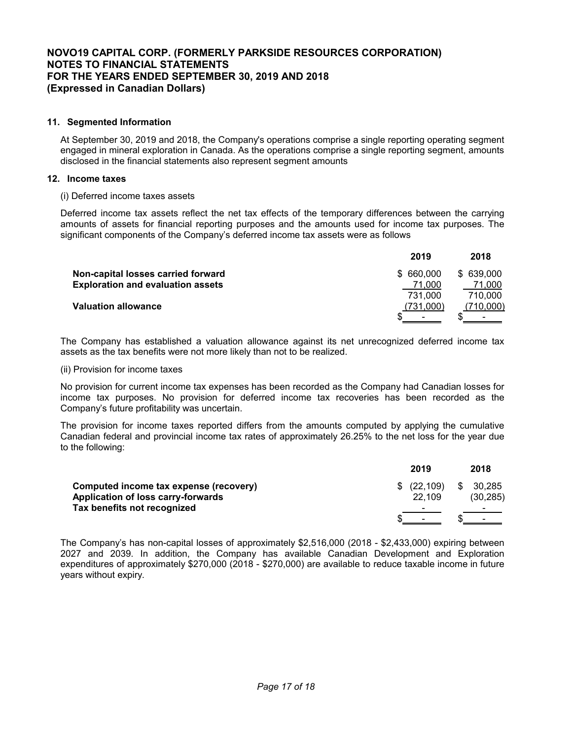# **11. Segmented Information**

At September 30, 2019 and 2018, the Company's operations comprise a single reporting operating segment engaged in mineral exploration in Canada. As the operations comprise a single reporting segment, amounts disclosed in the financial statements also represent segment amounts

### **12. Income taxes**

# (i) Deferred income taxes assets

Deferred income tax assets reflect the net tax effects of the temporary differences between the carrying amounts of assets for financial reporting purposes and the amounts used for income tax purposes. The significant components of the Company's deferred income tax assets were as follows

| 2019      | 2018      |
|-----------|-----------|
| \$660,000 | \$639,000 |
| 71.000    | 71,000    |
| 731.000   | 710.000   |
| (731,000) | (710,000) |
|           | -         |
|           |           |

The Company has established a valuation allowance against its net unrecognized deferred income tax assets as the tax benefits were not more likely than not to be realized.

(ii) Provision for income taxes

No provision for current income tax expenses has been recorded as the Company had Canadian losses for income tax purposes. No provision for deferred income tax recoveries has been recorded as the Company's future profitability was uncertain.

The provision for income taxes reported differs from the amounts computed by applying the cumulative Canadian federal and provincial income tax rates of approximately 26.25% to the net loss for the year due to the following:

|                                        | 2019                     | 2018         |
|----------------------------------------|--------------------------|--------------|
| Computed income tax expense (recovery) | \$ (22.109)              | 30.285<br>S. |
| Application of loss carry-forwards     | 22.109                   | (30, 285)    |
| Tax benefits not recognized            |                          |              |
|                                        | $\overline{\phantom{0}}$ | -            |

The Company's has non-capital losses of approximately \$2,516,000 (2018 - \$2,433,000) expiring between 2027 and 2039. In addition, the Company has available Canadian Development and Exploration expenditures of approximately \$270,000 (2018 - \$270,000) are available to reduce taxable income in future years without expiry.